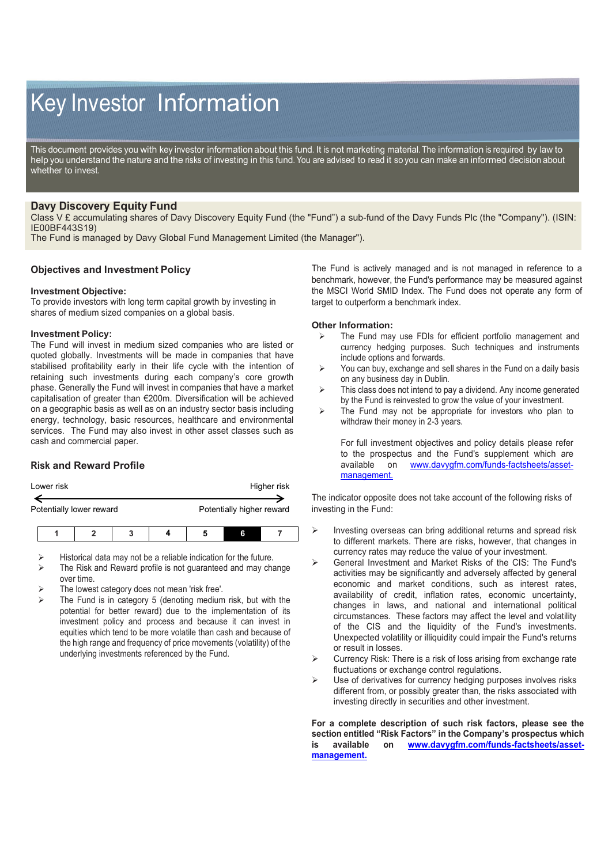# Key Investor Information

This document provides you with key investor information about this fund. It is not marketing material. The information is required by law to help you understand the nature and the risks of investing in this fund. You are advised to read it so you can make an informed decision about whether to invest.

## **Davy Discovery Equity Fund**

Class V £ accumulating shares of Davy Discovery Equity Fund (the "Fund") a sub-fund of the Davy Funds Plc (the "Company"). (ISIN: IE00BF443S19)

The Fund is managed by Davy Global Fund Management Limited (the Manager").

## **Objectives and Investment Policy**

#### **Investment Objective:**

To provide investors with long term capital growth by investing in shares of medium sized companies on a global basis.

#### **Investment Policy:**

The Fund will invest in medium sized companies who are listed or quoted globally. Investments will be made in companies that have stabilised profitability early in their life cycle with the intention of retaining such investments during each company's core growth phase. Generally the Fund will invest in companies that have a market capitalisation of greater than €200m. Diversification will be achieved on a geographic basis as well as on an industry sector basis including energy, technology, basic resources, healthcare and environmental services. The Fund may also invest in other asset classes such as cash and commercial paper.

# **Risk and Reward Profile**

| Lower risk | Higher risk |
|------------|-------------|
|            |             |

Potentially lower reward **Potentially higher reward** 

- Historical data may not be a reliable indication for the future.
- The Risk and Reward profile is not guaranteed and may change over time.
- The lowest category does not mean 'risk free'.
- The Fund is in category 5 (denoting medium risk, but with the potential for better reward) due to the implementation of its investment policy and process and because it can invest in equities which tend to be more volatile than cash and because of the high range and frequency of price movements (volatility) of the underlying investments referenced by the Fund.

The Fund is actively managed and is not managed in reference to a benchmark, however, the Fund's performance may be measured against the MSCI World SMID Index. The Fund does not operate any form of target to outperform a benchmark index.

#### **Other Information:**

- $\triangleright$  The Fund may use FDIs for efficient portfolio management and currency hedging purposes. Such techniques and instruments include options and forwards.
- $\triangleright$  You can buy, exchange and sell shares in the Fund on a daily basis on any business day in Dublin.
- $\triangleright$  This class does not intend to pay a dividend. Any income generated by the Fund is reinvested to grow the value of your investment.
- $\triangleright$  The Fund may not be appropriate for investors who plan to withdraw their money in 2-3 years.

For full investment objectives and policy details please refer to the prospectus and the Fund's supplement which are available on www.davvafm.com/funds-factsheets/asset[www.davygfm.com/funds-factsheets/asset](http://www.davygfm.com/funds-factsheets/asset-management.)[management.](http://www.davygfm.com/funds-factsheets/asset-management.)

The indicator opposite does not take account of the following risks of investing in the Fund:

- $\triangleright$  Investing overseas can bring additional returns and spread risk to different markets. There are risks, however, that changes in currency rates may reduce the value of your investment.
- General Investment and Market Risks of the CIS: The Fund's activities may be significantly and adversely affected by general economic and market conditions, such as interest rates, availability of credit, inflation rates, economic uncertainty, changes in laws, and national and international political circumstances. These factors may affect the level and volatility of the CIS and the liquidity of the Fund's investments. Unexpected volatility or illiquidity could impair the Fund's returns or result in losses.
- $\triangleright$  Currency Risk: There is a risk of loss arising from exchange rate fluctuations or exchange control regulations.
- Use of derivatives for currency hedging purposes involves risks different from, or possibly greater than, the risks associated with investing directly in securities and other investment.

**For a complete description of such risk factors, please see the section entitled "Risk Factors" in the Company's prospectus which is available on [www.davygfm.com/funds-factsheets/asset](http://www.davygfm.com/funds-factsheets/asset-management.)[management.](http://www.davygfm.com/funds-factsheets/asset-management.)**